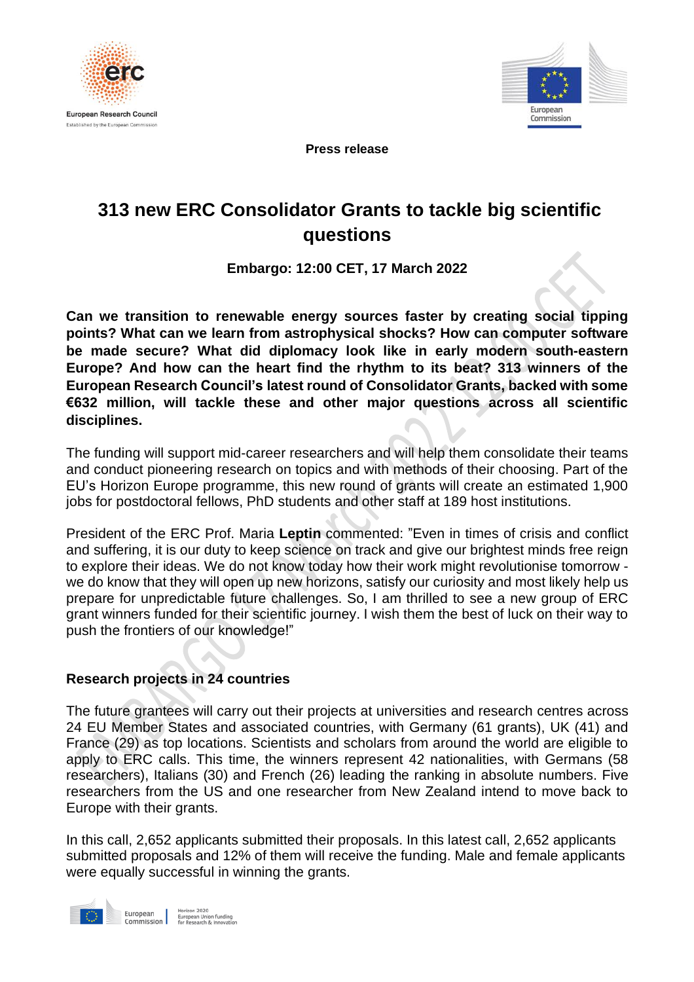



**Press release**

# **313 new ERC Consolidator Grants to tackle big scientific questions**

**Embargo: 12:00 CET, 17 March 2022**

**Can we transition to renewable energy sources faster by creating social tipping points? What can we learn from astrophysical shocks? How can computer software be made secure? What did diplomacy look like in early modern south-eastern Europe? And how can the heart find the rhythm to its beat? 313 winners of the European Research Council's latest round of Consolidator Grants, backed with some €632 million, will tackle these and other major questions across all scientific disciplines.**

The funding will support mid-career researchers and will help them consolidate their teams and conduct pioneering research on topics and with methods of their choosing. Part of the EU's Horizon Europe programme, this new round of grants will create an estimated 1,900 jobs for postdoctoral fellows, PhD students and other staff at 189 host institutions.

President of the ERC Prof. Maria **Leptin** commented: "Even in times of crisis and conflict and suffering, it is our duty to keep science on track and give our brightest minds free reign to explore their ideas. We do not know today how their work might revolutionise tomorrow we do know that they will open up new horizons, satisfy our curiosity and most likely help us prepare for unpredictable future challenges. So, I am thrilled to see a new group of ERC grant winners funded for their scientific journey. I wish them the best of luck on their way to push the frontiers of our knowledge!"

## **Research projects in 24 countries**

The future grantees will carry out their projects at universities and research centres across 24 EU Member States and associated countries, with Germany (61 grants), UK (41) and France (29) as top locations. Scientists and scholars from around the world are eligible to apply to ERC calls. This time, the winners represent 42 nationalities, with Germans (58 researchers), Italians (30) and French (26) leading the ranking in absolute numbers. Five researchers from the US and one researcher from New Zealand intend to move back to Europe with their grants.

In this call, 2,652 applicants submitted their proposals. In this latest call, 2,652 applicants submitted proposals and 12% of them will receive the funding. Male and female applicants were equally successful in winning the grants.